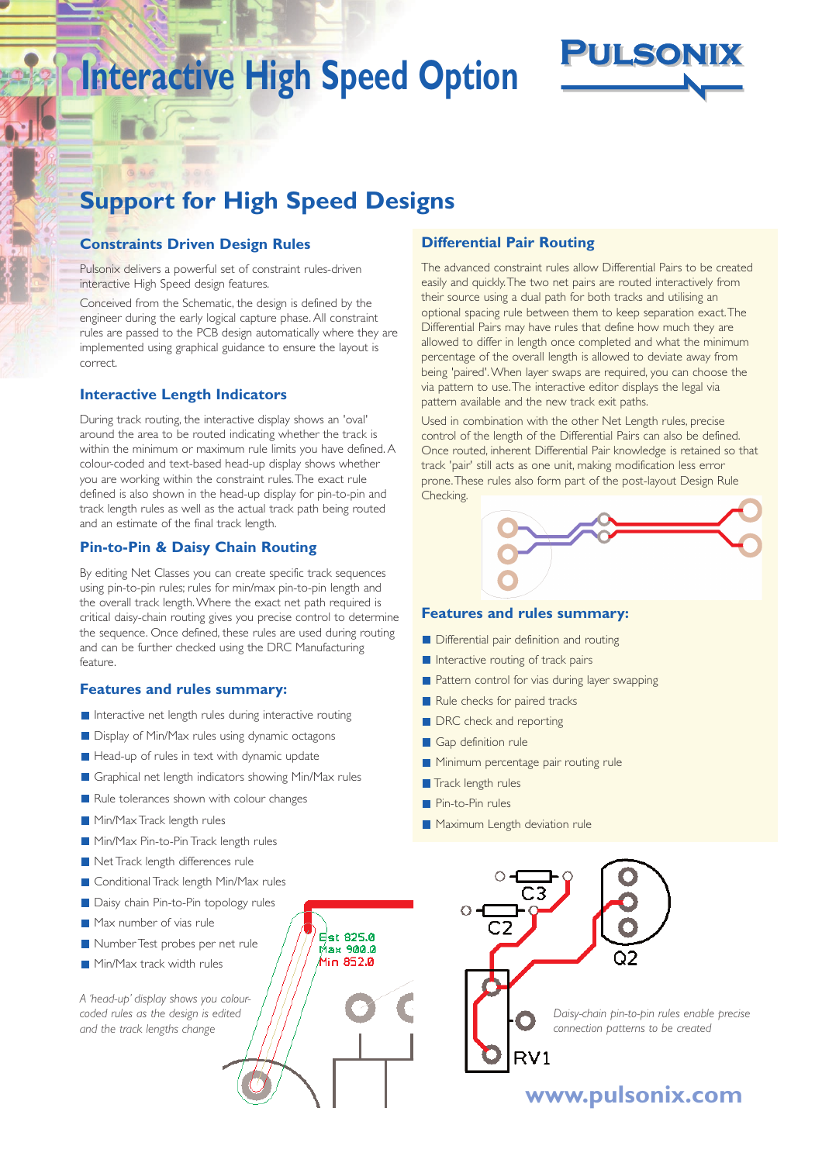# **Interactive High Speed Option**



## **Support for High Speed Designs**

### **Constraints Driven Design Rules**

Pulsonix delivers a powerful set of constraint rules-driven interactive High Speed design features.

Conceived from the Schematic, the design is defined by the engineer during the early logical capture phase. All constraint rules are passed to the PCB design automatically where they are implemented using graphical guidance to ensure the layout is correct.

### **Interactive Length Indicators**

During track routing, the interactive display shows an 'oval' around the area to be routed indicating whether the track is within the minimum or maximum rule limits you have defined. A colour-coded and text-based head-up display shows whether you are working within the constraint rules.The exact rule defined is also shown in the head-up display for pin-to-pin and track length rules as well as the actual track path being routed and an estimate of the final track length.

### **Pin-to-Pin & Daisy Chain Routing**

By editing Net Classes you can create specific track sequences using pin-to-pin rules; rules for min/max pin-to-pin length and the overall track length.Where the exact net path required is critical daisy-chain routing gives you precise control to determine the sequence. Once defined, these rules are used during routing and can be further checked using the DRC Manufacturing feature.

### **Features and rules summary:**

- Interactive net length rules during interactive routing
- Display of Min/Max rules using dynamic octagons
- $\blacksquare$  Head-up of rules in text with dynamic update
- Graphical net length indicators showing Min/Max rules
- Rule tolerances shown with colour changes
- **Min/Max Track length rules**
- Min/Max Pin-to-Pin Track length rules
- Net Track length differences rule
- **Conditional Track length Min/Max rules**
- Daisy chain Pin-to-Pin topology rules
- Max number of vias rule
- Number Test probes per net rule
- Min/Max track width rules

*A 'head-up' display shows you colourcoded rules as the design is edited and the track lengths change*

### **Differential Pair Routing**

The advanced constraint rules allow Differential Pairs to be created easily and quickly.The two net pairs are routed interactively from their source using a dual path for both tracks and utilising an optional spacing rule between them to keep separation exact.The Differential Pairs may have rules that define how much they are allowed to differ in length once completed and what the minimum percentage of the overall length is allowed to deviate away from being 'paired'.When layer swaps are required, you can choose the via pattern to use.The interactive editor displays the legal via pattern available and the new track exit paths.

Used in combination with the other Net Length rules, precise control of the length of the Differential Pairs can also be defined. Once routed, inherent Differential Pair knowledge is retained so that track 'pair' still acts as one unit, making modification less error prone.These rules also form part of the post-layout Design Rule Checking.

**www.pulsonix.com**

*Daisy-chain pin-to-pin rules enable precise connection patterns to be created*

### **Features and rules summary:**

- **Differential pair definition and routing**
- Interactive routing of track pairs
- **Pattern control for vias during layer swapping**
- Rule checks for paired tracks
- **DRC** check and reporting
- Gap definition rule
- **Minimum percentage pair routing rule**

 $RV1$ 

- $\blacksquare$  Track length rules
- Pin-to-Pin rules

**Est 825.0** Max 900.0 .<br>Min 852.0

Maximum Length deviation rule